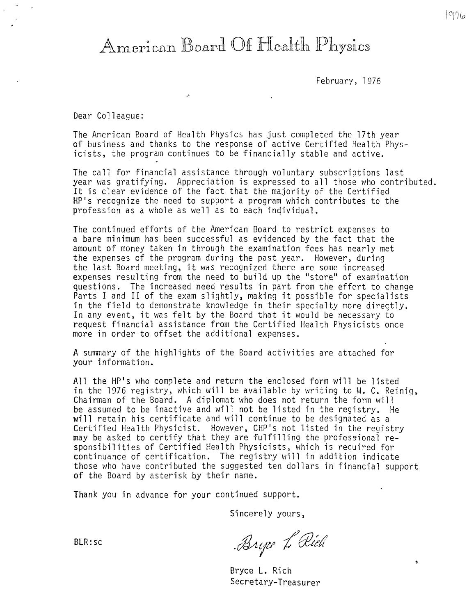# American Board Of Health Physics

 $\mathcal{L}^{\pm}$ 

February, 1976

Dear Colleague:

The American Board of Health Physics has just completed the 17th year of business and thanks to the response of active Certified Health Physicists, the program continues to be financially stable and active.

The call for financial assistance through voluntary subscriptions last year was gratifying. Appreciation is expressed to all those who contributed. It is clear evidence of the fact that the majority of the Certified HP's recognize the need to support a program which contributes to the profession as a whole as well as to each individual.

The continued efforts of the American Board to restrict expenses to a bare minimum has been successful as evidenced by the fact that the amount of money taken in through the examination fees has nearly met the expenses of the program during the past year. However, during the last Board meeting, it was recognized there are some increased expenses resulting from the need to build up the "store" of examination questions. The increased need results in part from the effcrt to change Parts I and II of the exam slightly, making it possible for specialists in the field to demonstrate knowledge in their specialty more directly. In any event, it was felt by the Board that it would be necessary *io*  request financial assistance from the Certified Health Physicists once more in order to offset the additional expenses.

A summary of the highlights of the Board activities are attached for your information.

Al1 the HP's who complete and return the enclosed form will be listed in the 1976 registry, which will be available by writing to W. C. Reinig, Chairman of the Board. A diplomat who does not return the form will be assumed to be inactive and will not be listed in the registry. He will retain his certificate and will continue to be designated as a Certified Health Physicist. However, CHP's not listed in the registry may be asked to certify that they are fulfilling the professional responsibilities of Certified Health Physicists, which is required for continuance of certification. The registry will in addition indicate those who have contributed the suggested ten dollars in financial support **of** the Board by asterisk by their name.

Thank you in advance for your continued support.

Sincerely yours,

BLR:sc

Bryze L'Olich

 $\pmb{\gamma}$ 

Bryce L. Rich Secretary-Treasurer